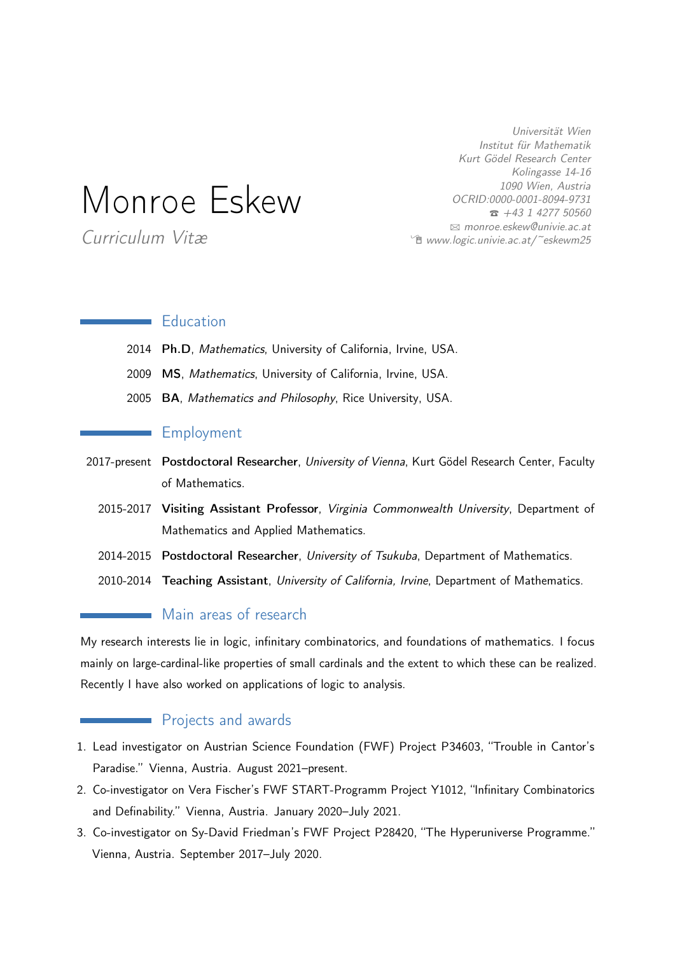Universität Wien Institut für Mathematik Kurt Gödel Research Center Kolingasse 14-16 1090 Wien, Austria OCRID:0000-0001-8094-9731  $\hat{z}$  +43 1 4277 50560 B [monroe.eskew@univie.ac.at](mailto:monroe.eskew@univie.ac.at) <del>■</del> [www.logic.univie.ac.at/~eskewm25](http://www.logic.univie.ac.at/~eskewm25)

# Monroe Eskew

Curriculum Vitæ

### **Education**

- 2014 Ph.D, Mathematics, University of California, Irvine, USA.
- 2009 MS, Mathematics, University of California, Irvine, USA.
- 2005 BA, Mathematics and Philosophy, Rice University, USA.

### **Employment**

- 2017-present Postdoctoral Researcher, University of Vienna, Kurt Gödel Research Center, Faculty of Mathematics.
	- 2015-2017 Visiting Assistant Professor, Virginia Commonwealth University, Department of Mathematics and Applied Mathematics.
	- 2014-2015 Postdoctoral Researcher, University of Tsukuba, Department of Mathematics.
	- 2010-2014 Teaching Assistant, University of California, Irvine, Department of Mathematics.

### **Main areas of research**

My research interests lie in logic, infinitary combinatorics, and foundations of mathematics. I focus mainly on large-cardinal-like properties of small cardinals and the extent to which these can be realized. Recently I have also worked on applications of logic to analysis.

#### **Projects and awards**

- 1. Lead investigator on Austrian Science Foundation (FWF) Project P34603, "Trouble in Cantor's Paradise." Vienna, Austria. August 2021–present.
- 2. Co-investigator on Vera Fischer's FWF START-Programm Project Y1012, "Infinitary Combinatorics and Definability." Vienna, Austria. January 2020–July 2021.
- 3. Co-investigator on Sy-David Friedman's FWF Project P28420, "The Hyperuniverse Programme." Vienna, Austria. September 2017–July 2020.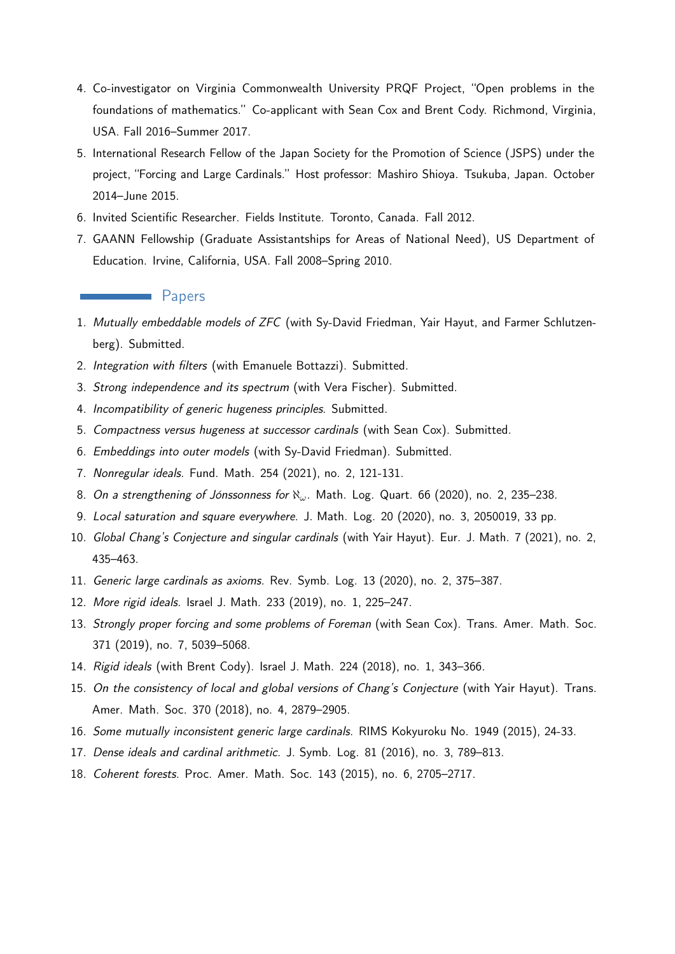- 4. Co-investigator on Virginia Commonwealth University PRQF Project, "Open problems in the foundations of mathematics." Co-applicant with Sean Cox and Brent Cody. Richmond, Virginia, USA. Fall 2016–Summer 2017.
- 5. International Research Fellow of the Japan Society for the Promotion of Science (JSPS) under the project, "Forcing and Large Cardinals." Host professor: Mashiro Shioya. Tsukuba, Japan. October 2014–June 2015.
- 6. Invited Scientific Researcher. Fields Institute. Toronto, Canada. Fall 2012.
- 7. GAANN Fellowship (Graduate Assistantships for Areas of National Need), US Department of Education. Irvine, California, USA. Fall 2008–Spring 2010.

#### **Papers**

- 1. Mutually embeddable models of ZFC (with Sy-David Friedman, Yair Hayut, and Farmer Schlutzenberg). Submitted.
- 2. Integration with filters (with Emanuele Bottazzi). Submitted.
- 3. Strong independence and its spectrum (with Vera Fischer). Submitted.
- 4. Incompatibility of generic hugeness principles. Submitted.
- 5. Compactness versus hugeness at successor cardinals (with Sean Cox). Submitted.
- 6. Embeddings into outer models (with Sy-David Friedman). Submitted.
- 7. Nonregular ideals. Fund. Math. 254 (2021), no. 2, 121-131.
- 8. On a strengthening of Jónssonness for ℵ*ω*. Math. Log. Quart. 66 (2020), no. 2, 235–238.
- 9. Local saturation and square everywhere. J. Math. Log. 20 (2020), no. 3, 2050019, 33 pp.
- 10. Global Chang's Conjecture and singular cardinals (with Yair Hayut). Eur. J. Math. 7 (2021), no. 2, 435–463.
- 11. Generic large cardinals as axioms. Rev. Symb. Log. 13 (2020), no. 2, 375–387.
- 12. More rigid ideals. Israel J. Math. 233 (2019), no. 1, 225–247.
- 13. Strongly proper forcing and some problems of Foreman (with Sean Cox). Trans. Amer. Math. Soc. 371 (2019), no. 7, 5039–5068.
- 14. Rigid ideals (with Brent Cody). Israel J. Math. 224 (2018), no. 1, 343–366.
- 15. On the consistency of local and global versions of Chang's Conjecture (with Yair Hayut). Trans. Amer. Math. Soc. 370 (2018), no. 4, 2879–2905.
- 16. Some mutually inconsistent generic large cardinals. RIMS Kokyuroku No. 1949 (2015), 24-33.
- 17. Dense ideals and cardinal arithmetic. J. Symb. Log. 81 (2016), no. 3, 789–813.
- 18. Coherent forests. Proc. Amer. Math. Soc. 143 (2015), no. 6, 2705–2717.